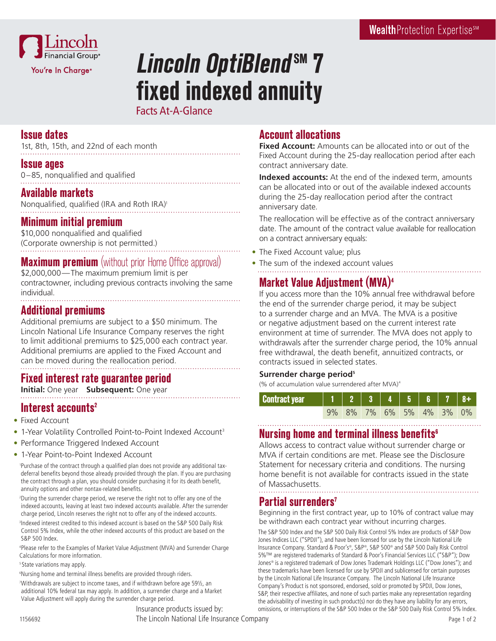

# **Lincoln OptiBlend SM 7 fixed indexed annuity**

Facts At-A-Glance

### **Issue dates**

1st, 8th, 15th, and 22nd of each month

#### **Issue ages**

0–85, nonqualified and qualified

### **Available markets**

Nonqualified, qualified (IRA and Roth IRA)1

## **Minimum initial premium**

\$10,000 nonqualified and qualified (Corporate ownership is not permitted.)

## **Maximum premium** (without prior Home Office approval)

\$2,000,000—The maximum premium limit is per contractowner, including previous contracts involving the same individual. 

#### **Additional premiums**

Additional premiums are subject to a \$50 minimum. The Lincoln National Life Insurance Company reserves the right to limit additional premiums to \$25,000 each contract year. Additional premiums are applied to the Fixed Account and can be moved during the reallocation period.

# **Fixed interest rate guarantee period**

**Initial:** One year **Subsequent:** One year

# **Interest accounts2**

- Fixed Account
- 1-Year Volatility Controlled Point-to-Point Indexed Account<sup>3</sup>
- Performance Triggered Indexed Account
- 1-Year Point-to-Point Indexed Account

1 Purchase of the contract through a qualified plan does not provide any additional taxdeferral benefits beyond those already provided through the plan. If you are purchasing the contract through a plan, you should consider purchasing it for its death benefit, annuity options and other nontax-related benefits.

2 During the surrender charge period, we reserve the right not to offer any one of the indexed accounts, leaving at least two indexed accounts available. After the surrender charge period, Lincoln reserves the right not to offer any of the indexed accounts. 3 Indexed interest credited to this indexed account is based on the S&P 500 Daily Risk Control 5% Index, while the other indexed accounts of this product are based on the S&P 500 Index.

4 Please refer to the Examples of Market Value Adjustment (MVA) and Surrender Charge Calculations for more information.

<sup>5</sup> State variations may apply.

6 Nursing home and terminal illness benefits are provided through riders.

7 Withdrawals are subject to income taxes, and if withdrawn before age 59½, an additional 10% federal tax may apply. In addition, a surrender charge and a Market Value Adjustment will apply during the surrender charge period.

# **Account allocations**

**Fixed Account:** Amounts can be allocated into or out of the Fixed Account during the 25-day reallocation period after each contract anniversary date.

**Indexed accounts:** At the end of the indexed term, amounts can be allocated into or out of the available indexed accounts during the 25-day reallocation period after the contract anniversary date.

The reallocation will be effective as of the contract anniversary date. The amount of the contract value available for reallocation on a contract anniversary equals:

- The Fixed Account value; plus
- The sum of the indexed account values

# **Market Value Adjustment (MVA)4**

If you access more than the 10% annual free withdrawal before the end of the surrender charge period, it may be subject to a surrender charge and an MVA. The MVA is a positive or negative adjustment based on the current interest rate environment at time of surrender. The MVA does not apply to withdrawals after the surrender charge period, the 10% annual free withdrawal, the death benefit, annuitized contracts, or contracts issued in selected states.

#### **Surrender charge period5**

(% of accumulation value surrendered after MVA) $4$ 

|  |  | 9% 8% 7% 6% 5% 4% 3% 0% |  |  |
|--|--|-------------------------|--|--|

# **Nursing home and terminal illness benefits6**

Allows access to contract value without surrender charge or MVA if certain conditions are met. Please see the Disclosure Statement for necessary criteria and conditions. The nursing home benefit is not available for contracts issued in the state of Massachusetts.

# **Partial surrenders7**

Beginning in the first contract year, up to 10% of contract value may be withdrawn each contract year without incurring charges.

The S&P 500 Index and the S&P 500 Daily Risk Control 5% Index are products of S&P Dow Jones Indices LLC ("SPDJI"), and have been licensed for use by the Lincoln National Life Insurance Company. Standard & Poor's®, S&P®, S&P 500® and S&P 500 Daily Risk Control 5%™ are registered trademarks of Standard & Poor's Financial Services LLC ("S&P"); Dow Jones® is a registered trademark of Dow Jones Trademark Holdings LLC ("Dow Jones"); and these trademarks have been licensed for use by SPDJI and sublicensed for certain purposes by the Lincoln National Life Insurance Company. The Lincoln National Life Insurance Company's Product is not sponsored, endorsed, sold or promoted by SPDJI, Dow Jones, S&P, their respective affiliates, and none of such parties make any representation regarding the advisability of investing in such product(s) nor do they have any liability for any errors, Insurance products issued by: omissions, or interruptions of the S&P 500 Index or the S&P 500 Daily Risk Control 5% Index.

1156692 Page 1 of 2 The Lincoln National Life Insurance Company